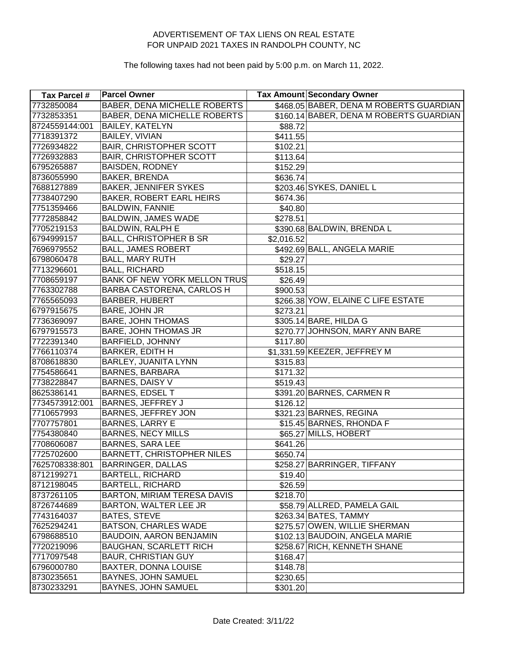| Tax Parcel #   | <b>Parcel Owner</b>                 |            | Tax Amount Secondary Owner              |
|----------------|-------------------------------------|------------|-----------------------------------------|
| 7732850084     | <b>BABER, DENA MICHELLE ROBERTS</b> |            | \$468.05 BABER, DENA M ROBERTS GUARDIAN |
| 7732853351     | <b>BABER, DENA MICHELLE ROBERTS</b> |            | \$160.14 BABER, DENA M ROBERTS GUARDIAN |
| 8724559144:001 | <b>BAILEY, KATELYN</b>              | \$88.72    |                                         |
| 7718391372     | <b>BAILEY, VIVIAN</b>               | \$411.55   |                                         |
| 7726934822     | <b>BAIR, CHRISTOPHER SCOTT</b>      | \$102.21   |                                         |
| 7726932883     | <b>BAIR, CHRISTOPHER SCOTT</b>      | \$113.64   |                                         |
| 6795265887     | <b>BAISDEN, RODNEY</b>              | \$152.29   |                                         |
| 8736055990     | BAKER, BRENDA                       | \$636.74]  |                                         |
| 7688127889     | <b>BAKER, JENNIFER SYKES</b>        |            | \$203.46 SYKES, DANIEL L                |
| 7738407290     | <b>BAKER, ROBERT EARL HEIRS</b>     | \$674.36   |                                         |
| 7751359466     | <b>BALDWIN, FANNIE</b>              | \$40.80    |                                         |
| 7772858842     | <b>BALDWIN, JAMES WADE</b>          | \$278.51   |                                         |
| 7705219153     | <b>BALDWIN, RALPH E</b>             |            | \$390.68 BALDWIN, BRENDA L              |
| 6794999157     | <b>BALL, CHRISTOPHER B SR</b>       | \$2,016.52 |                                         |
| 7696979552     | <b>BALL, JAMES ROBERT</b>           |            | \$492.69 BALL, ANGELA MARIE             |
| 6798060478     | <b>BALL, MARY RUTH</b>              | \$29.27    |                                         |
| 7713296601     | <b>BALL, RICHARD</b>                | \$518.15   |                                         |
| 7708659197     | BANK OF NEW YORK MELLON TRUS        | \$26.49    |                                         |
| 7763302788     | <b>BARBA CASTORENA, CARLOS H</b>    | \$900.53   |                                         |
| 7765565093     | <b>BARBER, HUBERT</b>               |            | \$266.38 YOW, ELAINE C LIFE ESTATE      |
| 6797915675     | BARE, JOHN JR                       | \$273.21   |                                         |
| 7736369097     | <b>BARE, JOHN THOMAS</b>            |            | \$305.14 BARE, HILDA G                  |
| 6797915573     | <b>BARE, JOHN THOMAS JR</b>         |            | \$270.77 JOHNSON, MARY ANN BARE         |
| 7722391340     | <b>BARFIELD, JOHNNY</b>             | \$117.80   |                                         |
| 7766110374     | <b>BARKER, EDITH H</b>              |            | \$1,331.59 KEEZER, JEFFREY M            |
| 8708618830     | <b>BARLEY, JUANITA LYNN</b>         | \$315.83   |                                         |
| 7754586641     | <b>BARNES, BARBARA</b>              | \$171.32   |                                         |
| 7738228847     | BARNES, DAISY V                     | \$519.43]  |                                         |
| 8625386141     | <b>BARNES, EDSEL T</b>              |            | \$391.20 BARNES, CARMEN R               |
| 7734573912:001 | <b>BARNES, JEFFREY J</b>            | \$126.12   |                                         |
| 7710657993     | <b>BARNES, JEFFREY JON</b>          |            | \$321.23 BARNES, REGINA                 |
| 7707757801     | <b>BARNES, LARRY E</b>              |            | \$15.45 BARNES, RHONDA F                |
| 7754380840     | <b>BARNES, NECY MILLS</b>           |            | \$65.27 MILLS, HOBERT                   |
| 7708606087     | <b>BARNES, SARA LEE</b>             | \$641.26]  |                                         |
| 7725702600     | <b>BARNETT, CHRISTOPHER NILES</b>   | \$650.74]  |                                         |
| 7625708338:801 | <b>BARRINGER, DALLAS</b>            |            | \$258.27 BARRINGER, TIFFANY             |
| 8712199271     | <b>BARTELL, RICHARD</b>             | \$19.40    |                                         |
| 8712198045     | <b>BARTELL, RICHARD</b>             | \$26.59    |                                         |
| 8737261105     | <b>BARTON, MIRIAM TERESA DAVIS</b>  | \$218.70   |                                         |
| 8726744689     | BARTON, WALTER LEE JR               |            | \$58.79 ALLRED, PAMELA GAIL             |
| 7743164037     | <b>BATES, STEVE</b>                 |            | \$263.34 BATES, TAMMY                   |
| 7625294241     | <b>BATSON, CHARLES WADE</b>         |            | \$275.57 OWEN, WILLIE SHERMAN           |
| 6798688510     | BAUDOIN, AARON BENJAMIN             |            | \$102.13 BAUDOIN, ANGELA MARIE          |
| 7720219096     | <b>BAUGHAN, SCARLETT RICH</b>       |            | \$258.67 RICH, KENNETH SHANE            |
| 7717097548     | <b>BAUR, CHRISTIAN GUY</b>          | \$168.47   |                                         |
| 6796000780     | BAXTER, DONNA LOUISE                | \$148.78   |                                         |
| 8730235651     | BAYNES, JOHN SAMUEL                 | \$230.65   |                                         |
| 8730233291     | BAYNES, JOHN SAMUEL                 | \$301.20   |                                         |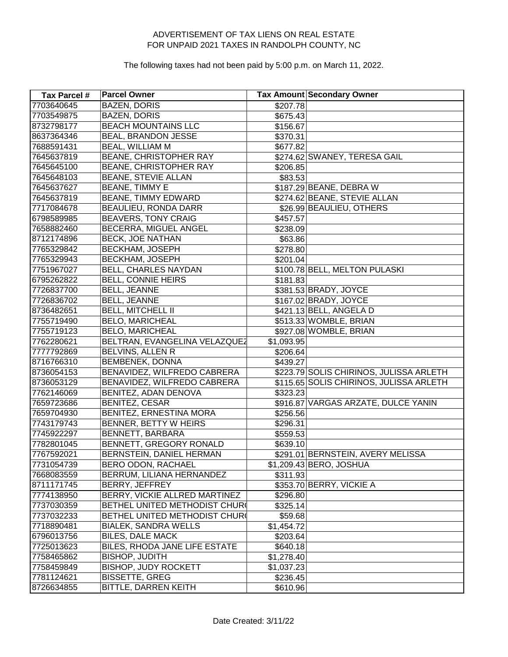| Tax Parcel # | <b>Parcel Owner</b>           |            | Tax Amount Secondary Owner              |
|--------------|-------------------------------|------------|-----------------------------------------|
| 7703640645   | <b>BAZEN, DORIS</b>           | \$207.78   |                                         |
| 7703549875   | <b>BAZEN, DORIS</b>           | \$675.43   |                                         |
| 8732798177   | <b>BEACH MOUNTAINS LLC</b>    | \$156.67   |                                         |
| 8637364346   | BEAL, BRANDON JESSE           | \$370.31   |                                         |
| 7688591431   | BEAL, WILLIAM M               | \$677.82   |                                         |
| 7645637819   | BEANE, CHRISTOPHER RAY        |            | \$274.62 SWANEY, TERESA GAIL            |
| 7645645100   | BEANE, CHRISTOPHER RAY        | \$206.85   |                                         |
| 7645648103   | <b>BEANE, STEVIE ALLAN</b>    | \$83.53    |                                         |
| 7645637627   | BEANE, TIMMY E                |            | \$187.29 BEANE, DEBRA W                 |
| 7645637819   | BEANE, TIMMY EDWARD           |            | \$274.62 BEANE, STEVIE ALLAN            |
| 7717084678   | <b>BEAULIEU, RONDA DARR</b>   |            | \$26.99 BEAULIEU, OTHERS                |
| 6798589985   | <b>BEAVERS, TONY CRAIG</b>    | \$457.57   |                                         |
| 7658882460   | BECERRA, MIGUEL ANGEL         | \$238.09   |                                         |
| 8712174896   | <b>BECK, JOE NATHAN</b>       | \$63.86    |                                         |
| 7765329842   | <b>BECKHAM, JOSEPH</b>        | \$278.80   |                                         |
| 7765329943   | <b>BECKHAM, JOSEPH</b>        | \$201.04   |                                         |
| 7751967027   | BELL, CHARLES NAYDAN          |            | \$100.78 BELL, MELTON PULASKI           |
| 6795262822   | <b>BELL, CONNIE HEIRS</b>     | \$181.83   |                                         |
| 7726837700   | <b>BELL, JEANNE</b>           |            | \$381.53 BRADY, JOYCE                   |
| 7726836702   | <b>BELL, JEANNE</b>           |            | \$167.02 BRADY, JOYCE                   |
| 8736482651   | <b>BELL, MITCHELL II</b>      |            | \$421.13 BELL, ANGELA D                 |
| 7755719490   | <b>BELO, MARICHEAL</b>        |            | \$513.33 WOMBLE, BRIAN                  |
| 7755719123   | <b>BELO, MARICHEAL</b>        |            | \$927.08 WOMBLE, BRIAN                  |
| 7762280621   | BELTRAN, EVANGELINA VELAZQUEZ | \$1,093.95 |                                         |
| 7777792869   | BELVINS, ALLEN R              | \$206.64   |                                         |
| 8716766310   | BEMBENEK, DONNA               | \$439.27   |                                         |
| 8736054153   | BENAVIDEZ, WILFREDO CABRERA   |            | \$223.79 SOLIS CHIRINOS, JULISSA ARLETH |
| 8736053129   | BENAVIDEZ, WILFREDO CABRERA   |            | \$115.65 SOLIS CHIRINOS, JULISSA ARLETH |
| 7762146069   | BENITEZ, ADAN DENOVA          | \$323.23   |                                         |
| 7659723686   | <b>BENITEZ, CESAR</b>         |            | \$916.87 VARGAS ARZATE, DULCE YANIN     |
| 7659704930   | BENITEZ, ERNESTINA MORA       | \$256.56   |                                         |
| 7743179743   | BENNER, BETTY W HEIRS         | \$296.31   |                                         |
| 7745922297   | BENNETT, BARBARA              | \$559.53   |                                         |
| 7782801045   | BENNETT, GREGORY RONALD       | \$639.10   |                                         |
| 7767592021   | BERNSTEIN, DANIEL HERMAN      |            | \$291.01 BERNSTEIN, AVERY MELISSA       |
| 7731054739   | BERO ODON, RACHAEL            |            | \$1,209.43 BERO, JOSHUA                 |
| 7668083559   | BERRUM, LILIANA HERNANDEZ     | \$311.93]  |                                         |
| 8711171745   | BERRY, JEFFREY                |            | \$353.70 BERRY, VICKIE A                |
| 7774138950   | BERRY, VICKIE ALLRED MARTINEZ | \$296.80   |                                         |
| 7737030359   | BETHEL UNITED METHODIST CHUR  | \$325.14   |                                         |
| 7737032233   | BETHEL UNITED METHODIST CHUR  | \$59.68    |                                         |
| 7718890481   | <b>BIALEK, SANDRA WELLS</b>   | \$1,454.72 |                                         |
| 6796013756   | <b>BILES, DALE MACK</b>       | \$203.64   |                                         |
| 7725013623   | BILES, RHODA JANE LIFE ESTATE | \$640.18   |                                         |
| 7758465862   | <b>BISHOP, JUDITH</b>         | \$1,278.40 |                                         |
| 7758459849   | <b>BISHOP, JUDY ROCKETT</b>   | \$1,037.23 |                                         |
| 7781124621   | <b>BISSETTE, GREG</b>         | \$236.45   |                                         |
| 8726634855   | BITTLE, DARREN KEITH          | \$610.96   |                                         |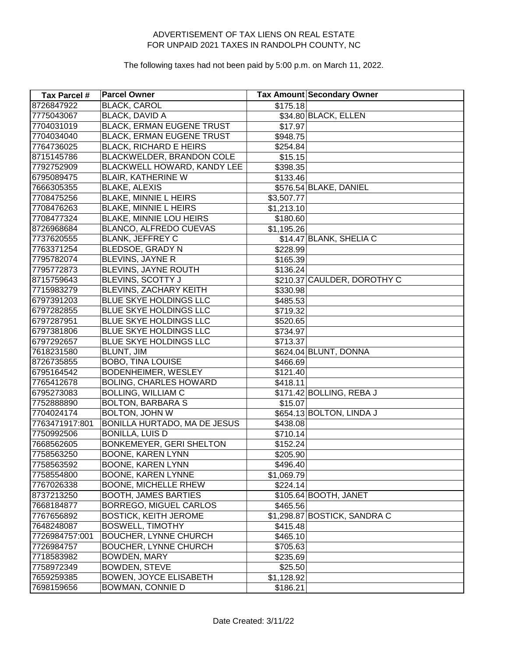| <b>Tax Parcel #</b> | <b>Parcel Owner</b>              |            | <b>Tax Amount Secondary Owner</b> |
|---------------------|----------------------------------|------------|-----------------------------------|
| 8726847922          | <b>BLACK, CAROL</b>              | \$175.18   |                                   |
| 7775043067          | <b>BLACK, DAVID A</b>            |            | \$34.80 BLACK, ELLEN              |
| 7704031019          | <b>BLACK, ERMAN EUGENE TRUST</b> | \$17.97    |                                   |
| 7704034040          | <b>BLACK, ERMAN EUGENE TRUST</b> | \$948.75   |                                   |
| 7764736025          | <b>BLACK, RICHARD E HEIRS</b>    | \$254.84   |                                   |
| 8715145786          | BLACKWELDER, BRANDON COLE        | \$15.15    |                                   |
| 7792752909          | BLACKWELL HOWARD, KANDY LEE      | \$398.35   |                                   |
| 6795089475          | BLAIR, KATHERINE W               | \$133.46   |                                   |
| 7666305355          | <b>BLAKE, ALEXIS</b>             |            | \$576.54 BLAKE, DANIEL            |
| 7708475256          | <b>BLAKE, MINNIE L HEIRS</b>     | \$3,507.77 |                                   |
| 7708476263          | <b>BLAKE, MINNIE L HEIRS</b>     | \$1,213.10 |                                   |
| 7708477324          | BLAKE, MINNIE LOU HEIRS          | \$180.60   |                                   |
| 8726968684          | BLANCO, ALFREDO CUEVAS           | \$1,195.26 |                                   |
| 7737620555          | <b>BLANK, JEFFREY C</b>          |            | \$14.47 BLANK, SHELIA C           |
| 7763371254          | BLEDSOE, GRADY N                 | \$228.99   |                                   |
| 7795782074          | BLEVINS, JAYNE R                 | \$165.39   |                                   |
| 7795772873          | BLEVINS, JAYNE ROUTH             | \$136.24   |                                   |
| 8715759643          | BLEVINS, SCOTTY J                |            | \$210.37 CAULDER, DOROTHY C       |
| 7715983279          | BLEVINS, ZACHARY KEITH           | \$330.98   |                                   |
| 6797391203          | BLUE SKYE HOLDINGS LLC           | \$485.53   |                                   |
| 6797282855          | BLUE SKYE HOLDINGS LLC           | \$719.32   |                                   |
| 6797287951          | BLUE SKYE HOLDINGS LLC           | \$520.65   |                                   |
| 6797381806          | BLUE SKYE HOLDINGS LLC           | \$734.97   |                                   |
| 6797292657          | BLUE SKYE HOLDINGS LLC           | \$713.37   |                                   |
| 7618231580          | BLUNT, JIM                       |            | \$624.04 BLUNT, DONNA             |
| 8726735855          | <b>BOBO, TINA LOUISE</b>         | \$466.69   |                                   |
| 6795164542          | BODENHEIMER, WESLEY              | \$121.40   |                                   |
| 7765412678          | <b>BOLING, CHARLES HOWARD</b>    | \$418.11   |                                   |
| 6795273083          | <b>BOLLING, WILLIAM C</b>        |            | \$171.42 BOLLING, REBA J          |
| 7752888890          | <b>BOLTON, BARBARA S</b>         | \$15.07    |                                   |
| 7704024174          | <b>BOLTON, JOHN W</b>            |            | \$654.13 BOLTON, LINDA J          |
| 7763471917:801      | BONILLA HURTADO, MA DE JESUS     | \$438.08   |                                   |
| 7750992506          | <b>BONILLA, LUIS D</b>           | \$710.14   |                                   |
| 7668562605          | BONKEMEYER, GERI SHELTON         | \$152.24   |                                   |
| 7758563250          | <b>BOONE, KAREN LYNN</b>         | \$205.90   |                                   |
| 7758563592          | BOONE, KAREN LYNN                | \$496.40   |                                   |
| 7758554800          | BOONE, KAREN LYNNE               | \$1,069.79 |                                   |
| 7767026338          | BOONE, MICHELLE RHEW             | \$224.14   |                                   |
| 8737213250          | <b>BOOTH, JAMES BARTIES</b>      |            | \$105.64 BOOTH, JANET             |
| 7668184877          | BORREGO, MIGUEL CARLOS           | \$465.56   |                                   |
| 7767656892          | <b>BOSTICK, KEITH JEROME</b>     |            | \$1,298.87 BOSTICK, SANDRA C      |
| 7648248087          | <b>BOSWELL, TIMOTHY</b>          | \$415.48   |                                   |
| 7726984757:001      | <b>BOUCHER, LYNNE CHURCH</b>     | \$465.10   |                                   |
| 7726984757          | <b>BOUCHER, LYNNE CHURCH</b>     | \$705.63   |                                   |
| 7718583982          | <b>BOWDEN, MARY</b>              | \$235.69   |                                   |
| 7758972349          | BOWDEN, STEVE                    | \$25.50    |                                   |
| 7659259385          | <b>BOWEN, JOYCE ELISABETH</b>    | \$1,128.92 |                                   |
| 7698159656          | <b>BOWMAN, CONNIE D</b>          | \$186.21   |                                   |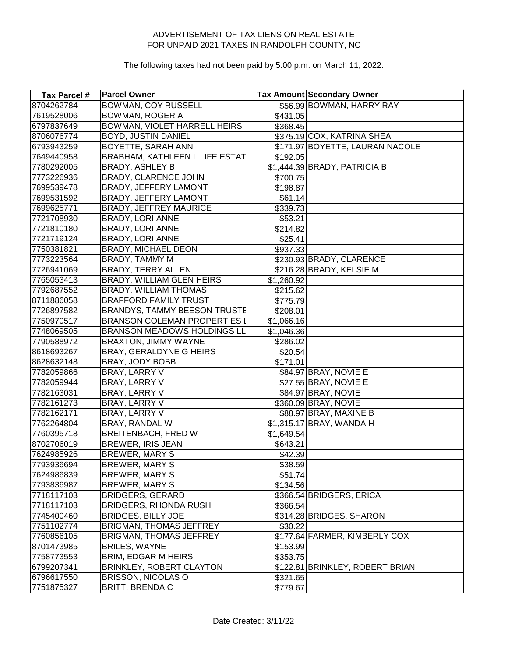| Tax Parcel # | <b>Parcel Owner</b>                 |            | Tax Amount Secondary Owner      |
|--------------|-------------------------------------|------------|---------------------------------|
| 8704262784   | <b>BOWMAN, COY RUSSELL</b>          |            | \$56.99 BOWMAN, HARRY RAY       |
| 7619528006   | <b>BOWMAN, ROGER A</b>              | \$431.05   |                                 |
| 6797837649   | BOWMAN, VIOLET HARRELL HEIRS        | \$368.45   |                                 |
| 8706076774   | <b>BOYD, JUSTIN DANIEL</b>          |            | \$375.19 COX, KATRINA SHEA      |
| 6793943259   | BOYETTE, SARAH ANN                  |            | \$171.97 BOYETTE, LAURAN NACOLE |
| 7649440958   | BRABHAM, KATHLEEN L LIFE ESTAT      | \$192.05   |                                 |
| 7780292005   | <b>BRADY, ASHLEY B</b>              |            | $$1,444.39$ BRADY, PATRICIA B   |
| 7773226936   | BRADY, CLARENCE JOHN                | \$700.75   |                                 |
| 7699539478   | BRADY, JEFFERY LAMONT               | \$198.87   |                                 |
| 7699531592   | BRADY, JEFFERY LAMONT               | \$61.14    |                                 |
| 7699625771   | <b>BRADY, JEFFREY MAURICE</b>       | \$339.73   |                                 |
| 7721708930   | <b>BRADY, LORI ANNE</b>             | \$53.21    |                                 |
| 7721810180   | <b>BRADY, LORI ANNE</b>             | \$214.82   |                                 |
| 7721719124   | <b>BRADY, LORI ANNE</b>             | \$25.41    |                                 |
| 7750381821   | <b>BRADY, MICHAEL DEON</b>          | \$937.33   |                                 |
| 7773223564   | BRADY, TAMMY M                      |            | \$230.93 BRADY, CLARENCE        |
| 7726941069   | BRADY, TERRY ALLEN                  |            | \$216.28 BRADY, KELSIE M        |
| 7765053413   | <b>BRADY, WILLIAM GLEN HEIRS</b>    | \$1,260.92 |                                 |
| 7792687552   | <b>BRADY, WILLIAM THOMAS</b>        | \$215.62   |                                 |
| 8711886058   | <b>BRAFFORD FAMILY TRUST</b>        | \$775.79   |                                 |
| 7726897582   | <b>BRANDYS, TAMMY BEESON TRUSTE</b> | \$208.01   |                                 |
| 7750970517   | <b>BRANSON COLEMAN PROPERTIES I</b> | \$1,066.16 |                                 |
| 7748069505   | <b>BRANSON MEADOWS HOLDINGS LL</b>  | \$1,046.36 |                                 |
| 7790588972   | BRAXTON, JIMMY WAYNE                | \$286.02   |                                 |
| 8618693267   | <b>BRAY, GERALDYNE G HEIRS</b>      | \$20.54    |                                 |
| 8628632148   | BRAY, JODY BOBB                     | \$171.01   |                                 |
| 7782059866   | BRAY, LARRY V                       |            | \$84.97 BRAY, NOVIE E           |
| 7782059944   | BRAY, LARRY V                       |            | \$27.55 BRAY, NOVIE E           |
| 7782163031   | BRAY, LARRY V                       |            | \$84.97 BRAY, NOVIE             |
| 7782161273   | BRAY, LARRY V                       |            | \$360.09 BRAY, NOVIE            |
| 7782162171   | BRAY, LARRY V                       |            | \$88.97 BRAY, MAXINE B          |
| 7762264804   | <b>BRAY, RANDAL W</b>               |            | \$1,315.17 BRAY, WANDA H        |
| 7760395718   | BREITENBACH, FRED W                 | \$1,649.54 |                                 |
| 8702706019   | <b>BREWER, IRIS JEAN</b>            | \$643.21   |                                 |
| 7624985926   | <b>BREWER, MARY S</b>               | \$42.39    |                                 |
| 7793936694   | BREWER, MARY S                      | \$38.59    |                                 |
| 7624986839   | <b>BREWER, MARY S</b>               | \$51.74    |                                 |
| 7793836987   | BREWER, MARY S                      | \$134.56   |                                 |
| 7718117103   | <b>BRIDGERS, GERARD</b>             |            | \$366.54 BRIDGERS, ERICA        |
| 7718117103   | <b>BRIDGERS, RHONDA RUSH</b>        | \$366.54]  |                                 |
| 7745400460   | <b>BRIDGES, BILLY JOE</b>           |            | \$314.28 BRIDGES, SHARON        |
| 7751102774   | <b>BRIGMAN, THOMAS JEFFREY</b>      | \$30.22    |                                 |
| 7760856105   | BRIGMAN, THOMAS JEFFREY             |            | \$177.64 FARMER, KIMBERLY COX   |
| 8701473985   | <b>BRILES, WAYNE</b>                | \$153.99   |                                 |
| 7758773553   | <b>BRIM, EDGAR M HEIRS</b>          | \$353.75   |                                 |
| 6799207341   | <b>BRINKLEY, ROBERT CLAYTON</b>     |            | \$122.81 BRINKLEY, ROBERT BRIAN |
| 6796617550   | <b>BRISSON, NICOLAS O</b>           | \$321.65   |                                 |
| 7751875327   | <b>BRITT, BRENDAC</b>               | \$779.67   |                                 |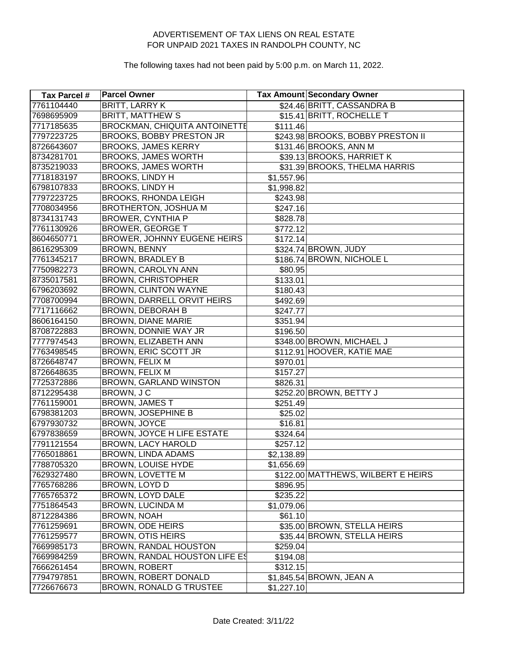| Tax Parcel # | <b>Parcel Owner</b>                  |            | Tax Amount Secondary Owner         |
|--------------|--------------------------------------|------------|------------------------------------|
| 7761104440   | <b>BRITT, LARRY K</b>                |            | \$24.46 BRITT, CASSANDRA B         |
| 7698695909   | <b>BRITT, MATTHEW S</b>              |            | \$15.41 BRITT, ROCHELLE T          |
| 7717185635   | <b>BROCKMAN, CHIQUITA ANTOINETTE</b> | \$111.46   |                                    |
| 7797223725   | BROOKS, BOBBY PRESTON JR             |            | \$243.98 BROOKS, BOBBY PRESTON II  |
| 8726643607   | <b>BROOKS, JAMES KERRY</b>           |            | \$131.46 BROOKS, ANN M             |
| 8734281701   | <b>BROOKS, JAMES WORTH</b>           |            | \$39.13 BROOKS, HARRIET K          |
| 8735219033   | <b>BROOKS, JAMES WORTH</b>           |            | \$31.39 BROOKS, THELMA HARRIS      |
| 7718183197   | <b>BROOKS, LINDY H</b>               | \$1,557.96 |                                    |
| 6798107833   | <b>BROOKS, LINDY H</b>               | \$1,998.82 |                                    |
| 7797223725   | <b>BROOKS, RHONDA LEIGH</b>          | \$243.98   |                                    |
| 7708034956   | <b>BROTHERTON, JOSHUA M</b>          | \$247.16   |                                    |
| 8734131743   | <b>BROWER, CYNTHIA P</b>             | \$828.78   |                                    |
| 7761130926   | <b>BROWER, GEORGE T</b>              | \$772.12   |                                    |
| 8604650771   | BROWER, JOHNNY EUGENE HEIRS          | \$172.14   |                                    |
| 8616295309   | <b>BROWN, BENNY</b>                  |            | \$324.74 BROWN, JUDY               |
| 7761345217   | <b>BROWN, BRADLEY B</b>              |            | \$186.74 BROWN, NICHOLE L          |
| 7750982273   | BROWN, CAROLYN ANN                   | \$80.95    |                                    |
| 8735017581   | <b>BROWN, CHRISTOPHER</b>            | \$133.01   |                                    |
| 6796203692   | <b>BROWN, CLINTON WAYNE</b>          | \$180.43   |                                    |
| 7708700994   | <b>BROWN, DARRELL ORVIT HEIRS</b>    | \$492.69   |                                    |
| 7717116662   | <b>BROWN, DEBORAH B</b>              | \$247.77   |                                    |
| 8606164150   | <b>BROWN, DIANE MARIE</b>            | \$351.94   |                                    |
| 8708722883   | BROWN, DONNIE WAY JR                 | \$196.50   |                                    |
| 7777974543   | BROWN, ELIZABETH ANN                 |            | \$348.00 BROWN, MICHAEL J          |
| 7763498545   | <b>BROWN, ERIC SCOTT JR</b>          |            | \$112.91 HOOVER, KATIE MAE         |
| 8726648747   | BROWN, FELIX M                       | \$970.01   |                                    |
| 8726648635   | BROWN, FELIX M                       | \$157.27   |                                    |
| 7725372886   | BROWN, GARLAND WINSTON               | \$826.31   |                                    |
| 8712295438   | BROWN, JC                            |            | \$252.20 BROWN, BETTY J            |
| 7761159001   | <b>BROWN, JAMES T</b>                | \$251.49   |                                    |
| 6798381203   | <b>BROWN, JOSEPHINE B</b>            | \$25.02    |                                    |
| 6797930732   | BROWN, JOYCE                         | \$16.81    |                                    |
| 6797838659   | <b>BROWN, JOYCE H LIFE ESTATE</b>    | \$324.64   |                                    |
| 7791121554   | <b>BROWN, LACY HAROLD</b>            | \$257.12   |                                    |
| 7765018861   | BROWN, LINDA ADAMS                   | \$2,138.89 |                                    |
| 7788705320   | BROWN, LOUISE HYDE                   | \$1,656.69 |                                    |
| 7629327480   | BROWN, LOVETTE M                     |            | \$122.00 MATTHEWS, WILBERT E HEIRS |
| 7765768286   | BROWN, LOYD D                        | \$896.95   |                                    |
| 7765765372   | BROWN, LOYD DALE                     | \$235.22   |                                    |
| 7751864543   | <b>BROWN, LUCINDA M</b>              | \$1,079.06 |                                    |
| 8712284386   | <b>BROWN, NOAH</b>                   | \$61.10    |                                    |
| 7761259691   | BROWN, ODE HEIRS                     |            | \$35.00 BROWN, STELLA HEIRS        |
| 7761259577   | <b>BROWN, OTIS HEIRS</b>             |            | \$35.44 BROWN, STELLA HEIRS        |
| 7669985173   | BROWN, RANDAL HOUSTON                | \$259.04]  |                                    |
| 7669984259   | BROWN, RANDAL HOUSTON LIFE ES        | \$194.08   |                                    |
| 7666261454   | <b>BROWN, ROBERT</b>                 | \$312.15   |                                    |
| 7794797851   | BROWN, ROBERT DONALD                 |            | \$1,845.54 BROWN, JEAN A           |
| 7726676673   | BROWN, RONALD G TRUSTEE              | \$1,227.10 |                                    |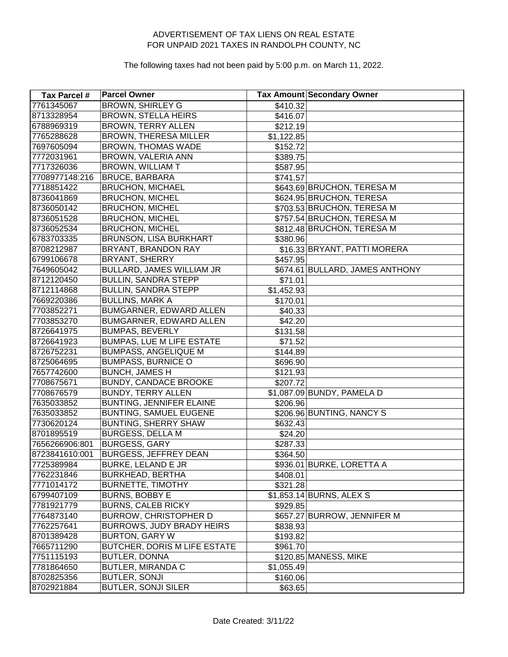| Tax Parcel #   | <b>Parcel Owner</b>              |            | <b>Tax Amount Secondary Owner</b> |
|----------------|----------------------------------|------------|-----------------------------------|
| 7761345067     | <b>BROWN, SHIRLEY G</b>          | \$410.32   |                                   |
| 8713328954     | <b>BROWN, STELLA HEIRS</b>       | \$416.07   |                                   |
| 6788969319     | <b>BROWN, TERRY ALLEN</b>        | \$212.19   |                                   |
| 7765288628     | <b>BROWN, THERESA MILLER</b>     | \$1,122.85 |                                   |
| 7697605094     | <b>BROWN, THOMAS WADE</b>        | \$152.72   |                                   |
| 7772031961     | BROWN, VALERIA ANN               | \$389.75   |                                   |
| 7717326036     | <b>BROWN, WILLIAM T</b>          | \$587.95   |                                   |
| 7708977148:216 | <b>BRUCE, BARBARA</b>            | \$741.57   |                                   |
| 7718851422     | <b>BRUCHON, MICHAEL</b>          |            | \$643.69 BRUCHON, TERESA M        |
| 8736041869     | <b>BRUCHON, MICHEL</b>           |            | \$624.95 BRUCHON, TERESA          |
| 8736050142     | <b>BRUCHON, MICHEL</b>           |            | \$703.53 BRUCHON, TERESA M        |
| 8736051528     | <b>BRUCHON, MICHEL</b>           |            | \$757.54 BRUCHON, TERESA M        |
| 8736052534     | <b>BRUCHON, MICHEL</b>           |            | \$812.48 BRUCHON, TERESA M        |
| 6783703335     | BRUNSON, LISA BURKHART           | \$380.96   |                                   |
| 8708212987     | BRYANT, BRANDON RAY              |            | \$16.33 BRYANT, PATTI MORERA      |
| 6799106678     | BRYANT, SHERRY                   | \$457.95   |                                   |
| 7649605042     | <b>BULLARD, JAMES WILLIAM JR</b> |            | \$674.61 BULLARD, JAMES ANTHONY   |
| 8712120450     | <b>BULLIN, SANDRA STEPP</b>      | \$71.01    |                                   |
| 8712114868     | <b>BULLIN, SANDRA STEPP</b>      | \$1,452.93 |                                   |
| 7669220386     | <b>BULLINS, MARK A</b>           | \$170.01   |                                   |
| 7703852271     | BUMGARNER, EDWARD ALLEN          | \$40.33    |                                   |
| 7703853270     | BUMGARNER, EDWARD ALLEN          | \$42.20    |                                   |
| 8726641975     | <b>BUMPAS, BEVERLY</b>           | \$131.58   |                                   |
| 8726641923     | <b>BUMPAS, LUE M LIFE ESTATE</b> | \$71.52    |                                   |
| 8726752231     | <b>BUMPASS, ANGELIQUE M</b>      | \$144.89   |                                   |
| 8725064695     | <b>BUMPASS, BURNICE O</b>        | \$696.90   |                                   |
| 7657742600     | <b>BUNCH, JAMES H</b>            | \$121.93   |                                   |
| 7708675671     | <b>BUNDY, CANDACE BROOKE</b>     | \$207.72   |                                   |
| 7708676579     | <b>BUNDY, TERRY ALLEN</b>        |            | \$1,087.09 BUNDY, PAMELA D        |
| 7635033852     | <b>BUNTING, JENNIFER ELAINE</b>  | \$206.96   |                                   |
| 7635033852     | <b>BUNTING, SAMUEL EUGENE</b>    |            | \$206.96 BUNTING, NANCY S         |
| 7730620124     | <b>BUNTING, SHERRY SHAW</b>      | \$632.43   |                                   |
| 8701895519     | <b>BURGESS, DELLA M</b>          | \$24.20    |                                   |
| 7656266906:801 | <b>BURGESS, GARY</b>             | \$287.33   |                                   |
| 8723841610:001 | <b>BURGESS, JEFFREY DEAN</b>     | \$364.50   |                                   |
| 7725389984     | BURKE, LELAND E JR               |            | \$936.01 BURKE, LORETTA A         |
| 7762231846     | <b>BURKHEAD, BERTHA</b>          | \$408.01   |                                   |
| 7771014172     | <b>BURNETTE, TIMOTHY</b>         | \$321.28   |                                   |
| 6799407109     | <b>BURNS, BOBBY E</b>            |            | \$1,853.14 BURNS, ALEX S          |
| 7781921779     | <b>BURNS, CALEB RICKY</b>        | \$929.85   |                                   |
| 7764873140     | <b>BURROW, CHRISTOPHER D</b>     |            | \$657.27 BURROW, JENNIFER M       |
| 7762257641     | BURROWS, JUDY BRADY HEIRS        | \$838.93   |                                   |
| 8701389428     | <b>BURTON, GARY W</b>            | \$193.82   |                                   |
| 7665711290     | BUTCHER, DORIS M LIFE ESTATE     | \$961.70   |                                   |
| 7751115193     | <b>BUTLER, DONNA</b>             |            | \$120.85 MANESS, MIKE             |
| 7781864650     | <b>BUTLER, MIRANDA C</b>         | \$1,055.49 |                                   |
| 8702825356     | <b>BUTLER, SONJI</b>             | \$160.06   |                                   |
| 8702921884     | <b>BUTLER, SONJI SILER</b>       | \$63.65    |                                   |